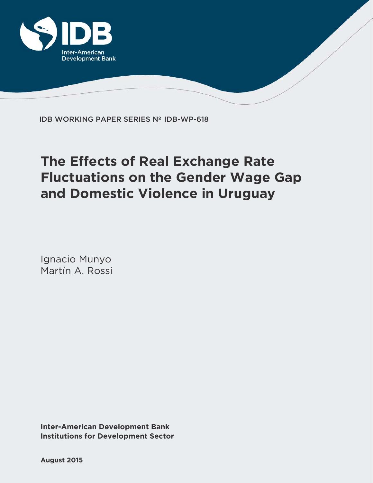

IDB WORKING PAPER SERIES Nº IDB-WP-618

# **The Effects of Real Exchange Rate Fluctuations on the Gender Wage Gap and Domestic Violence in Uruguay**

Ignacio Munyo Martín A. Rossi

**Institutions for Development Sector Inter-American Development Bank**

**August 2015**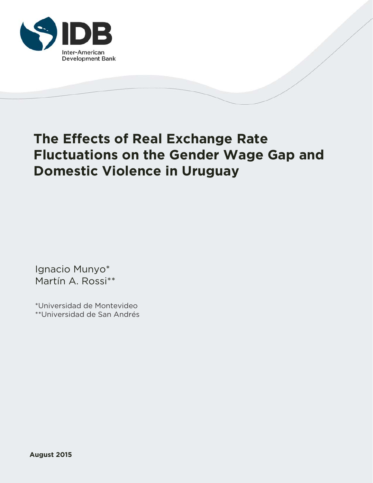

# **The Effects of Real Exchange Rate Fluctuations on the Gender Wage Gap and Domestic Violence in Uruguay**

Ignacio Munyo\* Martín A. Rossi\*\*

\*Universidad de Montevideo \*\*Universidad de San Andrés

**August 2015**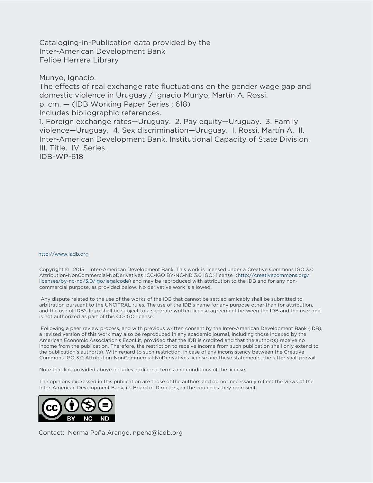Cataloging-in-Publication data provided by the Inter-American Development Bank Felipe Herrera Library

Munyo, Ignacio.

The effects of real exchange rate fluctuations on the gender wage gap and domestic violence in Uruguay / Ignacio Munyo, Martín A. Rossi. p. cm. — (IDB Working Paper Series ; 618) Includes bibliographic references. 1. Foreign exchange rates—Uruguay. 2. Pay equity—Uruguay. 3. Family violence—Uruguay. 4. Sex discrimination—Uruguay. I. Rossi, Martín A. II. Inter-American Development Bank. Institutional Capacity of State Division. III. Title. IV. Series. IDB-WP-618

#### http://www.iadb.org

Copyright © 2015 Inter-American Development Bank. This work is licensed under a Creative Commons IGO 3.0 Attribution-NonCommercial-NoDerivatives (CC-IGO BY-NC-ND 3.0 IGO) license (http://creativecommons.org/ licenses/by-nc-nd/3.0/igo/legalcode) and may be reproduced with attribution to the IDB and for any noncommercial purpose, as provided below. No derivative work is allowed.

 Any dispute related to the use of the works of the IDB that cannot be settled amicably shall be submitted to arbitration pursuant to the UNCITRAL rules. The use of the IDB's name for any purpose other than for attribution, and the use of IDB's logo shall be subject to a separate written license agreement between the IDB and the user and is not authorized as part of this CC-IGO license.

 Following a peer review process, and with previous written consent by the Inter-American Development Bank (IDB), a revised version of this work may also be reproduced in any academic journal, including those indexed by the American Economic Association's EconLit, provided that the IDB is credited and that the author(s) receive no income from the publication. Therefore, the restriction to receive income from such publication shall only extend to the publication's author(s). With regard to such restriction, in case of any inconsistency between the Creative Commons IGO 3.0 Attribution-NonCommercial-NoDerivatives license and these statements, the latter shall prevail.

Note that link provided above includes additional terms and conditions of the license.

The opinions expressed in this publication are those of the authors and do not necessarily reflect the views of the Inter-American Development Bank, its Board of Directors, or the countries they represent.



Contact: Norma Peña Arango, npena@iadb.org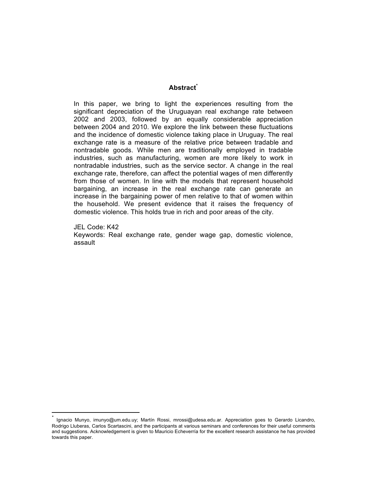# **Abstract\***

In this paper, we bring to light the experiences resulting from the significant depreciation of the Uruguayan real exchange rate between 2002 and 2003, followed by an equally considerable appreciation between 2004 and 2010. We explore the link between these fluctuations and the incidence of domestic violence taking place in Uruguay. The real exchange rate is a measure of the relative price between tradable and nontradable goods. While men are traditionally employed in tradable industries, such as manufacturing, women are more likely to work in nontradable industries, such as the service sector. A change in the real exchange rate, therefore, can affect the potential wages of men differently from those of women. In line with the models that represent household bargaining, an increase in the real exchange rate can generate an increase in the bargaining power of men relative to that of women within the household. We present evidence that it raises the frequency of domestic violence. This holds true in rich and poor areas of the city.

JEL Code: K42

<u> 1989 - Johann Stein, mars et al. 1989 - Anna ann an t-Anna ann an t-Anna ann an t-Anna ann an t-Anna ann an t-</u>

Keywords: Real exchange rate, gender wage gap, domestic violence, assault

Ignacio Munyo, imunyo@um.edu.uy; Martín Rossi, mrossi@udesa.edu.ar. Appreciation goes to Gerardo Licandro, Rodrigo Lluberas, Carlos Scartascini, and the participants at various seminars and conferences for their useful comments and suggestions. Acknowledgement is given to Mauricio Echeverría for the excellent research assistance he has provided towards this paper.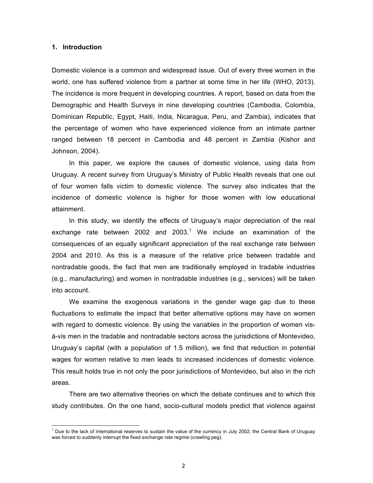### **1. Introduction**

Domestic violence is a common and widespread issue. Out of every three women in the world, one has suffered violence from a partner at some time in her life (WHO, 2013). The incidence is more frequent in developing countries. A report, based on data from the Demographic and Health Surveys in nine developing countries (Cambodia, Colombia, Dominican Republic, Egypt, Haiti, India, Nicaragua, Peru, and Zambia), indicates that the percentage of women who have experienced violence from an intimate partner ranged between 18 percent in Cambodia and 48 percent in Zambia (Kishor and Johnson, 2004).

In this paper, we explore the causes of domestic violence, using data from Uruguay. A recent survey from Uruguay's Ministry of Public Health reveals that one out of four women falls victim to domestic violence. The survey also indicates that the incidence of domestic violence is higher for those women with low educational attainment.

In this study, we identify the effects of Uruguay's major depreciation of the real exchange rate between 2002 and 2003.<sup>1</sup> We include an examination of the consequences of an equally significant appreciation of the real exchange rate between 2004 and 2010. As this is a measure of the relative price between tradable and nontradable goods, the fact that men are traditionally employed in tradable industries (e.g., manufacturing) and women in nontradable industries (e.g., services) will be taken into account.

We examine the exogenous variations in the gender wage gap due to these fluctuations to estimate the impact that better alternative options may have on women with regard to domestic violence. By using the variables in the proportion of women visá-vis men in the tradable and nontradable sectors across the jurisdictions of Montevideo, Uruguay's capital (with a population of 1.5 million), we find that reduction in potential wages for women relative to men leads to increased incidences of domestic violence. This result holds true in not only the poor jurisdictions of Montevideo, but also in the rich areas.

There are two alternative theories on which the debate continues and to which this study contributes. On the one hand, socio-cultural models predict that violence against

<u> 1989 - Johann Stein, mars et al. 1989 - Anna ann an t-Anna ann an t-Anna ann an t-Anna ann an t-Anna ann an t-</u>

 $1$  Due to the lack of international reserves to sustain the value of the currency in July 2002, the Central Bank of Uruguay was forced to suddenly interrupt the fixed exchange rate regime (crawling peg).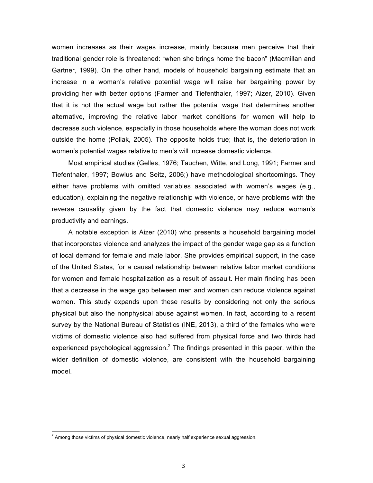women increases as their wages increase, mainly because men perceive that their traditional gender role is threatened: "when she brings home the bacon" (Macmillan and Gartner, 1999). On the other hand, models of household bargaining estimate that an increase in a woman's relative potential wage will raise her bargaining power by providing her with better options (Farmer and Tiefenthaler, 1997; Aizer, 2010). Given that it is not the actual wage but rather the potential wage that determines another alternative, improving the relative labor market conditions for women will help to decrease such violence, especially in those households where the woman does not work outside the home (Pollak, 2005). The opposite holds true; that is, the deterioration in women's potential wages relative to men's will increase domestic violence.

Most empirical studies (Gelles, 1976; Tauchen, Witte, and Long, 1991; Farmer and Tiefenthaler, 1997; Bowlus and Seitz, 2006;) have methodological shortcomings. They either have problems with omitted variables associated with women's wages (e.g., education), explaining the negative relationship with violence, or have problems with the reverse causality given by the fact that domestic violence may reduce woman's productivity and earnings.

A notable exception is Aizer (2010) who presents a household bargaining model that incorporates violence and analyzes the impact of the gender wage gap as a function of local demand for female and male labor. She provides empirical support, in the case of the United States, for a causal relationship between relative labor market conditions for women and female hospitalization as a result of assault. Her main finding has been that a decrease in the wage gap between men and women can reduce violence against women. This study expands upon these results by considering not only the serious physical but also the nonphysical abuse against women. In fact, according to a recent survey by the National Bureau of Statistics (INE, 2013), a third of the females who were victims of domestic violence also had suffered from physical force and two thirds had experienced psychological aggression.<sup>2</sup> The findings presented in this paper, within the wider definition of domestic violence, are consistent with the household bargaining model.

<u> 1989 - Johann Stein, mars et al. 1989 - Anna ann an t-Anna ann an t-Anna ann an t-Anna ann an t-Anna ann an t-</u>

 $2$  Among those victims of physical domestic violence, nearly half experience sexual aggression.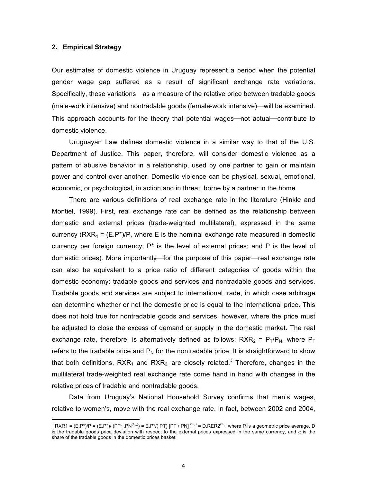## **2. Empirical Strategy**

<u> 1989 - Johann Stein, mars et al. 1989 - Anna ann an t-Anna ann an t-Anna ann an t-Anna ann an t-Anna ann an t-</u>

Our estimates of domestic violence in Uruguay represent a period when the potential gender wage gap suffered as a result of significant exchange rate variations. Specifically, these variations—as a measure of the relative price between tradable goods (male-work intensive) and nontradable goods (female-work intensive)—will be examined. This approach accounts for the theory that potential wages—not actual—contribute to domestic violence.

Uruguayan Law defines domestic violence in a similar way to that of the U.S. Department of Justice. This paper, therefore, will consider domestic violence as a pattern of abusive behavior in a relationship, used by one partner to gain or maintain power and control over another. Domestic violence can be physical, sexual, emotional, economic, or psychological, in action and in threat, borne by a partner in the home.

There are various definitions of real exchange rate in the literature (Hinkle and Montiel, 1999). First, real exchange rate can be defined as the relationship between domestic and external prices (trade-weighted multilateral), expressed in the same currency ( $RXR_1 = (E.P^*)/P$ , where E is the nominal exchange rate measured in domestic currency per foreign currency;  $P^*$  is the level of external prices; and P is the level of domestic prices). More importantly—for the purpose of this paper—real exchange rate can also be equivalent to a price ratio of different categories of goods within the domestic economy: tradable goods and services and nontradable goods and services. Tradable goods and services are subject to international trade, in which case arbitrage can determine whether or not the domestic price is equal to the international price. This does not hold true for nontradable goods and services, however, where the price must be adjusted to close the excess of demand or supply in the domestic market. The real exchange rate, therefore, is alternatively defined as follows: RXR<sub>2</sub> =  $P_T/P_N$ , where  $P_T$ refers to the tradable price and  $P_N$  for the nontradable price. It is straightforward to show that both definitions,  $RXR_1$  and  $RXR_2$  are closely related.<sup>3</sup> Therefore, changes in the multilateral trade-weighted real exchange rate come hand in hand with changes in the relative prices of tradable and nontradable goods.

Data from Uruguay's National Household Survey confirms that men's wages, relative to women's, move with the real exchange rate. In fact, between 2002 and 2004,

 $^3$  RXR1 = (E.P\*)/P = (E.P\*)/ (PTય .PN<sup>(1-</sup>α<sup>)</sup>) = E.P\*/( PT) [PT / PN] <sup>(1-</sup>α<sup>)</sup> = D.RER2<sup>(1-</sup>α<sup>)</sup> where P is a geometric price average, D is the tradable goods price deviation with respect to the external prices expressed in the same currency, and  $\alpha$  is the share of the tradable goods in the domestic prices basket.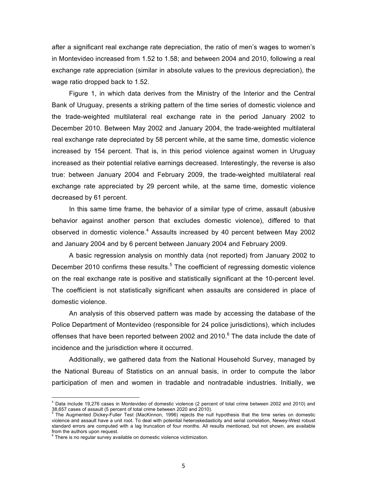after a significant real exchange rate depreciation, the ratio of men's wages to women's in Montevideo increased from 1.52 to 1.58; and between 2004 and 2010, following a real exchange rate appreciation (similar in absolute values to the previous depreciation), the wage ratio dropped back to 1.52.

Figure 1, in which data derives from the Ministry of the Interior and the Central Bank of Uruguay, presents a striking pattern of the time series of domestic violence and the trade-weighted multilateral real exchange rate in the period January 2002 to December 2010. Between May 2002 and January 2004, the trade-weighted multilateral real exchange rate depreciated by 58 percent while, at the same time, domestic violence increased by 154 percent. That is, in this period violence against women in Uruguay increased as their potential relative earnings decreased. Interestingly, the reverse is also true: between January 2004 and February 2009, the trade-weighted multilateral real exchange rate appreciated by 29 percent while, at the same time, domestic violence decreased by 61 percent.

In this same time frame, the behavior of a similar type of crime, assault (abusive behavior against another person that excludes domestic violence), differed to that observed in domestic violence.<sup>4</sup> Assaults increased by 40 percent between May 2002 and January 2004 and by 6 percent between January 2004 and February 2009.

A basic regression analysis on monthly data (not reported) from January 2002 to December 2010 confirms these results.<sup>5</sup> The coefficient of regressing domestic violence on the real exchange rate is positive and statistically significant at the 10-percent level. The coefficient is not statistically significant when assaults are considered in place of domestic violence.

An analysis of this observed pattern was made by accessing the database of the Police Department of Montevideo (responsible for 24 police jurisdictions), which includes offenses that have been reported between 2002 and 2010.<sup>6</sup> The data include the date of incidence and the jurisdiction where it occurred.

Additionally, we gathered data from the National Household Survey, managed by the National Bureau of Statistics on an annual basis, in order to compute the labor participation of men and women in tradable and nontradable industries. Initially, we

<u> 1989 - Johann Stein, mars et al. 1989 - Anna ann an t-Anna ann an t-Anna ann an t-Anna ann an t-Anna ann an t-</u>

<sup>4</sup> Data include 19,276 cases in Montevideo of domestic violence (2 percent of total crime between 2002 and 2010) and 38,657 cases of assault (5 percent of total crime between 2020 and 2010). <sup>5</sup> The Augmented Dickey-Fuller Test (MacKinnon, 1996) rejects the null hypothesis that the time series on domestic

violence and assault have a unit root. To deal with potential heteroskedasticity and serial correlation, Newey-West robust standard errors are computed with a lag truncation of four months. All results mentioned, but not shown, are available from the authors upon request.

 $6$  There is no regular survey available on domestic violence victimization.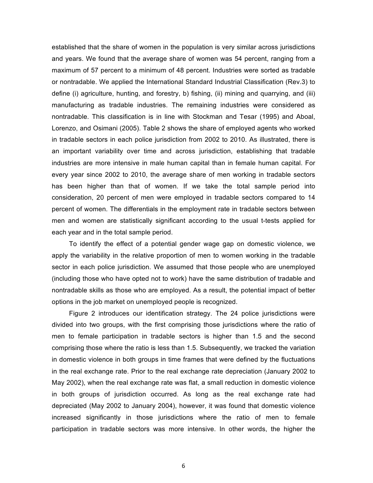established that the share of women in the population is very similar across jurisdictions and years. We found that the average share of women was 54 percent, ranging from a maximum of 57 percent to a minimum of 48 percent. Industries were sorted as tradable or nontradable. We applied the International Standard Industrial Classification (Rev.3) to define (i) agriculture, hunting, and forestry, b) fishing, (ii) mining and quarrying, and (iii) manufacturing as tradable industries. The remaining industries were considered as nontradable. This classification is in line with Stockman and Tesar (1995) and Aboal, Lorenzo, and Osimani (2005). Table 2 shows the share of employed agents who worked in tradable sectors in each police jurisdiction from 2002 to 2010. As illustrated, there is an important variability over time and across jurisdiction, establishing that tradable industries are more intensive in male human capital than in female human capital. For every year since 2002 to 2010, the average share of men working in tradable sectors has been higher than that of women. If we take the total sample period into consideration, 20 percent of men were employed in tradable sectors compared to 14 percent of women. The differentials in the employment rate in tradable sectors between men and women are statistically significant according to the usual t-tests applied for each year and in the total sample period.

To identify the effect of a potential gender wage gap on domestic violence, we apply the variability in the relative proportion of men to women working in the tradable sector in each police jurisdiction. We assumed that those people who are unemployed (including those who have opted not to work) have the same distribution of tradable and nontradable skills as those who are employed. As a result, the potential impact of better options in the job market on unemployed people is recognized.

Figure 2 introduces our identification strategy. The 24 police jurisdictions were divided into two groups, with the first comprising those jurisdictions where the ratio of men to female participation in tradable sectors is higher than 1.5 and the second comprising those where the ratio is less than 1.5. Subsequently, we tracked the variation in domestic violence in both groups in time frames that were defined by the fluctuations in the real exchange rate. Prior to the real exchange rate depreciation (January 2002 to May 2002), when the real exchange rate was flat, a small reduction in domestic violence in both groups of jurisdiction occurred. As long as the real exchange rate had depreciated (May 2002 to January 2004), however, it was found that domestic violence increased significantly in those jurisdictions where the ratio of men to female participation in tradable sectors was more intensive. In other words, the higher the

6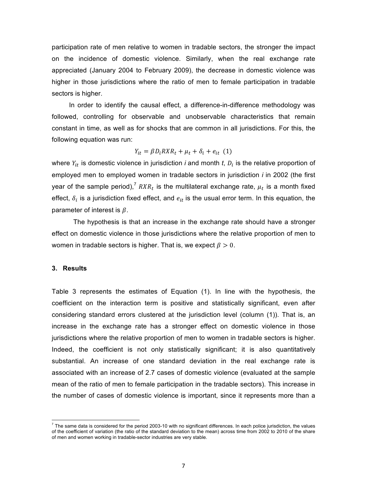participation rate of men relative to women in tradable sectors, the stronger the impact on the incidence of domestic violence. Similarly, when the real exchange rate appreciated (January 2004 to February 2009), the decrease in domestic violence was higher in those jurisdictions where the ratio of men to female participation in tradable sectors is higher.

In order to identify the causal effect, a difference-in-difference methodology was followed, controlling for observable and unobservable characteristics that remain constant in time, as well as for shocks that are common in all jurisdictions. For this, the following equation was run:

$$
Y_{it} = \beta D_i R X R_t + \mu_t + \delta_i + e_{it} \quad (1)
$$

where  $Y_{it}$  is domestic violence in jurisdiction *i* and month *t*,  $D_i$  is the relative proportion of employed men to employed women in tradable sectors in jurisdiction *i* in 2002 (the first year of the sample period),<sup>7</sup>  $\textit{RXR}_t$  is the multilateral exchange rate,  $\mu_t$  is a month fixed effect,  $\delta_i$  is a jurisdiction fixed effect, and  $e_{it}$  is the usual error term. In this equation, the parameter of interest is  $\beta$ .

The hypothesis is that an increase in the exchange rate should have a stronger effect on domestic violence in those jurisdictions where the relative proportion of men to women in tradable sectors is higher. That is, we expect  $\beta > 0$ .

## **3. Results**

 

Table 3 represents the estimates of Equation (1). In line with the hypothesis, the coefficient on the interaction term is positive and statistically significant, even after considering standard errors clustered at the jurisdiction level (column (1)). That is, an increase in the exchange rate has a stronger effect on domestic violence in those jurisdictions where the relative proportion of men to women in tradable sectors is higher. Indeed, the coefficient is not only statistically significant; it is also quantitatively substantial. An increase of one standard deviation in the real exchange rate is associated with an increase of 2.7 cases of domestic violence (evaluated at the sample mean of the ratio of men to female participation in the tradable sectors). This increase in the number of cases of domestic violence is important, since it represents more than a

 $<sup>7</sup>$  The same data is considered for the period 2003-10 with no significant differences. In each police jurisdiction, the values</sup> of the coefficient of variation (the ratio of the standard deviation to the mean) across time from 2002 to 2010 of the share of men and women working in tradable-sector industries are very stable.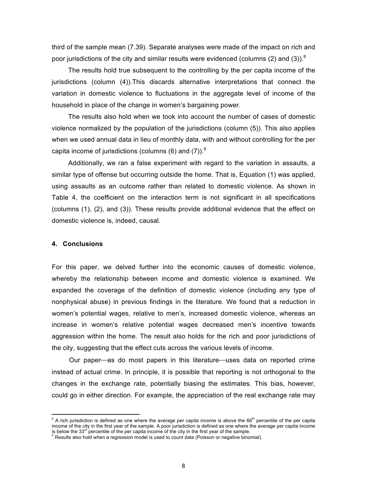third of the sample mean (7.39). Separate analyses were made of the impact on rich and poor jurisdictions of the city and similar results were evidenced (columns (2) and (3)).<sup>8</sup>

The results hold true subsequent to the controlling by the per capita income of the jurisdictions (column (4)).This discards alternative interpretations that connect the variation in domestic violence to fluctuations in the aggregate level of income of the household in place of the change in women's bargaining power.

The results also hold when we took into account the number of cases of domestic violence normalized by the population of the jurisdictions (column (5)). This also applies when we used annual data in lieu of monthly data, with and without controlling for the per capita income of jurisdictions (columns  $(6)$  and  $(7)$ ).<sup>9</sup>

Additionally, we ran a false experiment with regard to the variation in assaults, a similar type of offense but occurring outside the home. That is, Equation (1) was applied, using assaults as an outcome rather than related to domestic violence. As shown in Table 4, the coefficient on the interaction term is not significant in all specifications (columns (1), (2), and (3)). These results provide additional evidence that the effect on domestic violence is, indeed, causal.

#### **4. Conclusions**

<u> 1989 - Johann Stein, mars et al. 1989 - Anna ann an t-Anna ann an t-Anna ann an t-Anna ann an t-Anna ann an t-</u>

For this paper, we delved further into the economic causes of domestic violence, whereby the relationship between income and domestic violence is examined. We expanded the coverage of the definition of domestic violence (including any type of nonphysical abuse) in previous findings in the literature. We found that a reduction in women's potential wages, relative to men's, increased domestic violence, whereas an increase in women's relative potential wages decreased men's incentive towards aggression within the home. The result also holds for the rich and poor jurisdictions of the city, suggesting that the effect cuts across the various levels of income.

Our paper—as do most papers in this literature—uses data on reported crime instead of actual crime. In principle, it is possible that reporting is not orthogonal to the changes in the exchange rate, potentially biasing the estimates. This bias, however, could go in either direction. For example, the appreciation of the real exchange rate may

 $8$  A rich jurisdiction is defined as one where the average per capita income is above the  $66<sup>th</sup>$  percentile of the per capita income of the city in the first year of the sample. A poor jurisdiction is defined as one where the average per capita income is below the 33<sup>rd</sup> percentile of the per capita income of the city in the first year of the sam

<sup>&</sup>lt;sup>9</sup> Results also hold when a regression model is used to count data (Poisson or negative binomial).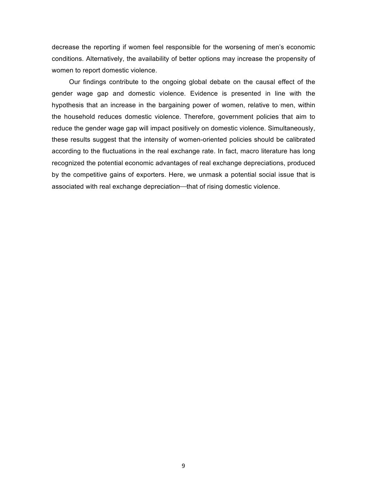decrease the reporting if women feel responsible for the worsening of men's economic conditions. Alternatively, the availability of better options may increase the propensity of women to report domestic violence.

Our findings contribute to the ongoing global debate on the causal effect of the gender wage gap and domestic violence. Evidence is presented in line with the hypothesis that an increase in the bargaining power of women, relative to men, within the household reduces domestic violence. Therefore, government policies that aim to reduce the gender wage gap will impact positively on domestic violence. Simultaneously, these results suggest that the intensity of women-oriented policies should be calibrated according to the fluctuations in the real exchange rate. In fact, macro literature has long recognized the potential economic advantages of real exchange depreciations, produced by the competitive gains of exporters. Here, we unmask a potential social issue that is associated with real exchange depreciation—that of rising domestic violence.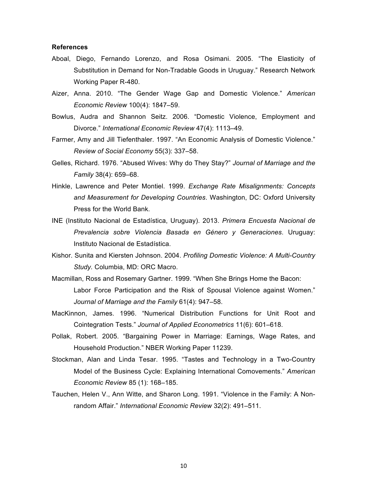## **References**

- Aboal, Diego, Fernando Lorenzo, and Rosa Osimani. 2005. "The Elasticity of Substitution in Demand for Non-Tradable Goods in Uruguay." Research Network Working Paper R-480.
- Aizer, Anna. 2010. "The Gender Wage Gap and Domestic Violence." *American Economic Review* 100(4): 1847–59.
- Bowlus, Audra and Shannon Seitz. 2006. "Domestic Violence, Employment and Divorce." *International Economic Review* 47(4): 1113–49.
- Farmer, Amy and Jill Tiefenthaler. 1997. "An Economic Analysis of Domestic Violence." *Review of Social Economy* 55(3): 337–58.
- Gelles, Richard. 1976. "Abused Wives: Why do They Stay?" *Journal of Marriage and the Family* 38(4): 659–68.
- Hinkle, Lawrence and Peter Montiel. 1999. *Exchange Rate Misalignments: Concepts and Measurement for Developing Countries*. Washington, DC: Oxford University Press for the World Bank.
- INE (Instituto Nacional de Estadística, Uruguay). 2013. *Primera Encuesta Nacional de Prevalencia sobre Violencia Basada en Género y Generaciones*. Uruguay: Instituto Nacional de Estadística.
- Kishor. Sunita and Kiersten Johnson. 2004. *Profiling Domestic Violence: A Multi-Country Study.* Columbia, MD: ORC Macro.
- Macmillan, Ross and Rosemary Gartner. 1999. "When She Brings Home the Bacon: Labor Force Participation and the Risk of Spousal Violence against Women." *Journal of Marriage and the Family* 61(4): 947–58.
- MacKinnon, James. 1996. "Numerical Distribution Functions for Unit Root and Cointegration Tests." *Journal of Applied Econometrics* 11(6): 601–618.
- Pollak, Robert. 2005. "Bargaining Power in Marriage: Earnings, Wage Rates, and Household Production." NBER Working Paper 11239.
- Stockman, Alan and Linda Tesar. 1995. "Tastes and Technology in a Two-Country Model of the Business Cycle: Explaining International Comovements." *American Economic Review* 85 (1): 168–185.
- Tauchen, Helen V., Ann Witte, and Sharon Long. 1991. "Violence in the Family: A Nonrandom Affair." *International Economic Review* 32(2): 491–511.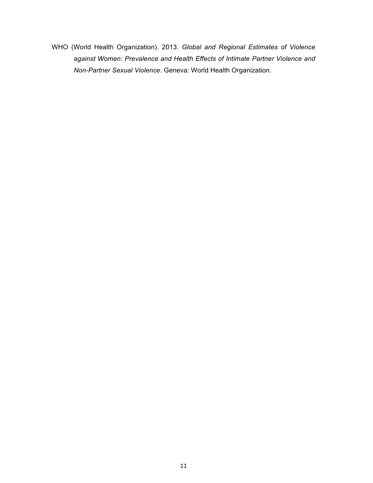WHO (World Health Organization). 2013. *Global and Regional Estimates of Violence against Women: Prevalence and Health Effects of Intimate Partner Violence and Non-Partner Sexual Violence*. Geneva: World Health Organization.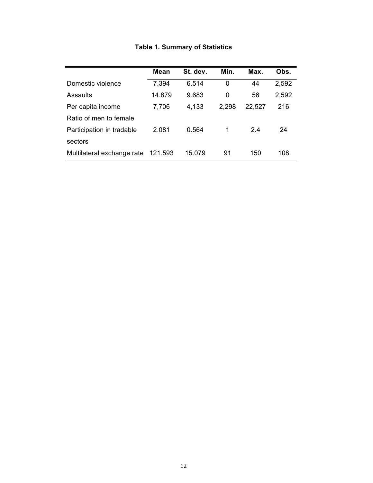|                            | <b>Mean</b> | St. dev. | Min.  | Max.   | Obs.  |
|----------------------------|-------------|----------|-------|--------|-------|
| Domestic violence          | 7.394       | 6.514    | 0     | 44     | 2,592 |
| Assaults                   | 14.879      | 9.683    | 0     | 56     | 2,592 |
| Per capita income          | 7,706       | 4,133    | 2,298 | 22,527 | 216   |
| Ratio of men to female     |             |          |       |        |       |
| Participation in tradable  | 2.081       | 0.564    | 1     | 24     | 24    |
| sectors                    |             |          |       |        |       |
| Multilateral exchange rate | 121.593     | 15.079   | 91    | 150    | 108   |

# **Table 1. Summary of Statistics**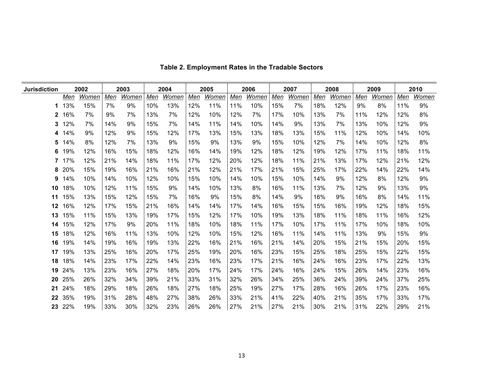| <b>Jurisdiction</b> | 2002 |       | 2003 |       | 2004 |       | 2005 |       | 2006 |       | 2007 |       | 2008 |       | 2009 |       | 2010 |       |
|---------------------|------|-------|------|-------|------|-------|------|-------|------|-------|------|-------|------|-------|------|-------|------|-------|
|                     | Men  | Women | Men  | Women | Men  | Women | Men  | Women | Men  | Women | Men  | Women | Men  | Women | Men  | Women | Men  | Women |
| 1                   | 13%  | 15%   | 7%   | 9%    | 10%  | 13%   | 12%  | 11%   | 11%  | 10%   | 15%  | 7%    | 18%  | 12%   | 9%   | 8%    | 11%  | 9%    |
| 2                   | 16%  | 7%    | 9%   | 7%    | 13%  | 7%    | 12%  | 10%   | 12%  | 7%    | 17%  | 10%   | 13%  | 7%    | 11%  | 12%   | 12%  | 8%    |
| 3.                  | 12%  | 7%    | 14%  | 9%    | 15%  | 7%    | 14%  | 11%   | 14%  | 10%   | 14%  | 9%    | 13%  | 7%    | 13%  | 10%   | 12%  | 9%    |
| 4                   | 14%  | 9%    | 12%  | 9%    | 15%  | 12%   | 17%  | 13%   | 15%  | 13%   | 18%  | 13%   | 15%  | 11%   | 12%  | 10%   | 14%  | 10%   |
| 5                   | 14%  | 8%    | 12%  | 7%    | 13%  | 9%    | 15%  | 9%    | 13%  | 9%    | 15%  | 10%   | 12%  | 7%    | 14%  | 10%   | 12%  | 8%    |
| 6                   | 19%  | 12%   | 16%  | 15%   | 18%  | 12%   | 16%  | 14%   | 19%  | 12%   | 18%  | 12%   | 19%  | 12%   | 17%  | 11%   | 18%  | 11%   |
| 7                   | 17%  | 12%   | 21%  | 14%   | 18%  | 11%   | 17%  | 12%   | 20%  | 12%   | 18%  | 11%   | 21%  | 13%   | 17%  | 12%   | 21%  | 12%   |
| 8                   | 20%  | 15%   | 19%  | 16%   | 21%  | 16%   | 21%  | 12%   | 21%  | 17%   | 21%  | 15%   | 25%  | 17%   | 22%  | 14%   | 22%  | 14%   |
| 9                   | 14%  | 10%   | 14%  | 10%   | 12%  | 10%   | 15%  | 10%   | 14%  | 10%   | 15%  | 10%   | 14%  | 9%    | 12%  | 8%    | 12%  | 9%    |
| 10                  | 18%  | 10%   | 12%  | 11%   | 15%  | 9%    | 14%  | 10%   | 13%  | 8%    | 16%  | 11%   | 13%  | 7%    | 12%  | 9%    | 13%  | 9%    |
| 11                  | 15%  | 13%   | 15%  | 12%   | 15%  | 7%    | 16%  | 9%    | 15%  | 8%    | 14%  | 9%    | 16%  | 9%    | 16%  | 8%    | 14%  | 11%   |
| 12                  | 16%  | 12%   | 17%  | 15%   | 21%  | 16%   | 14%  | 14%   | 17%  | 14%   | 16%  | 15%   | 15%  | 16%   | 19%  | 12%   | 18%  | 15%   |
| 13                  | 15%  | 11%   | 15%  | 13%   | 19%  | 17%   | 15%  | 12%   | 17%  | 10%   | 19%  | 13%   | 18%  | 11%   | 18%  | 11%   | 16%  | 12%   |
| 14                  | 15%  | 12%   | 17%  | 9%    | 20%  | 11%   | 18%  | 10%   | 18%  | 11%   | 17%  | 10%   | 17%  | 11%   | 17%  | 10%   | 18%  | 10%   |
| 15                  | 18%  | 12%   | 16%  | 11%   | 13%  | 10%   | 12%  | 10%   | 15%  | 12%   | 16%  | 11%   | 14%  | 11%   | 13%  | 9%    | 15%  | 9%    |
| 16                  | 19%  | 14%   | 19%  | 16%   | 19%  | 13%   | 22%  | 16%   | 21%  | 16%   | 21%  | 14%   | 20%  | 15%   | 21%  | 15%   | 20%  | 15%   |
| 17                  | 19%  | 13%   | 25%  | 16%   | 20%  | 17%   | 25%  | 19%   | 20%  | 16%   | 23%  | 15%   | 25%  | 18%   | 25%  | 15%   | 22%  | 15%   |
| 18                  | 18%  | 14%   | 23%  | 17%   | 22%  | 14%   | 23%  | 16%   | 23%  | 17%   | 21%  | 16%   | 24%  | 16%   | 23%  | 17%   | 22%  | 13%   |
| 19                  | 24%  | 13%   | 23%  | 16%   | 27%  | 18%   | 20%  | 17%   | 24%  | 17%   | 24%  | 16%   | 24%  | 15%   | 26%  | 14%   | 23%  | 16%   |
| 20                  | 25%  | 26%   | 32%  | 34%   | 39%  | 21%   | 33%  | 31%   | 32%  | 26%   | 34%  | 25%   | 36%  | 24%   | 39%  | 24%   | 37%  | 25%   |
| 21                  | 24%  | 18%   | 29%  | 18%   | 26%  | 18%   | 27%  | 18%   | 25%  | 19%   | 27%  | 17%   | 28%  | 16%   | 26%  | 17%   | 23%  | 16%   |
| 22                  | 35%  | 19%   | 31%  | 28%   | 48%  | 27%   | 38%  | 26%   | 33%  | 21%   | 41%  | 22%   | 40%  | 21%   | 35%  | 17%   | 33%  | 17%   |
| 23                  | 22%  | 19%   | 33%  | 30%   | 32%  | 23%   | 26%  | 26%   | 27%  | 21%   | 27%  | 21%   | 30%  | 21%   | 31%  | 22%   | 29%  | 21%   |

# **Table 2. Employment Rates in the Tradable Sectors**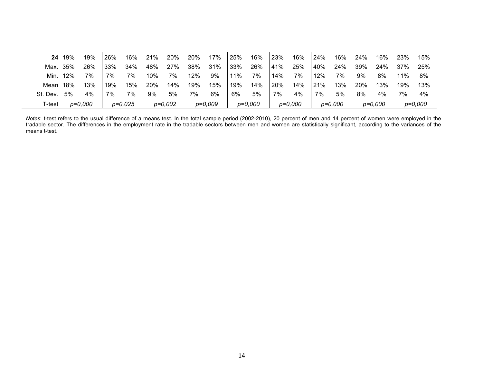| 24       | 19% | 19%       | 26% | 16%       | 21% | 20%       | 20% | 17%       | 25% | 16%       | 23% | 16%     | 24% | 16%       | 24% | 16%       | 23% | 15%       |
|----------|-----|-----------|-----|-----------|-----|-----------|-----|-----------|-----|-----------|-----|---------|-----|-----------|-----|-----------|-----|-----------|
| Max. 35% |     | 26%       | 33% | 34%       | 48% | 27%       | 38% | 31%       | 33% | 26%       | 41% | 25%     | 40% | 24%       | 39% | 24%       | 37% | 25%       |
| Min.     | 12% | 7%        | 7%  | 7%        | 10% | 7%        | 12% | 9%        | 11% | 7%        | 14% | 7%      | 12% | 7%        | 9%  | 8%        | 11% | 8%        |
| Mean     | 18% | 13%       | 19% | 15%       | 20% | 14%       | 19% | 15%       | 19% | 14%       | 20% | 14%     | 21% | 13%       | 20% | 13%       | 19% | 13%       |
| St. Dev. | 5%  | 4%        | 7%  | 7%        | 9%  | 5%        | 7%  | 6%        | 6%  | 5%        | 7%  | 4%      | 7%  | 5%        | 8%  | 4%        | 7%  | 4%        |
| T-test   |     | $p=0,000$ |     | $p=0,025$ |     | $p=0,002$ |     | $p=0,009$ |     | $p=0,000$ |     | p=0,000 |     | $p=0,000$ |     | $p=0,000$ |     | $p=0,000$ |

*Notes*: t-test refers to the usual difference of a means test. In the total sample period (2002-2010), 20 percent of men and 14 percent of women were employed in the tradable sector. The differences in the employment rate in the tradable sectors between men and women are statistically significant, according to the variances of the means t-test.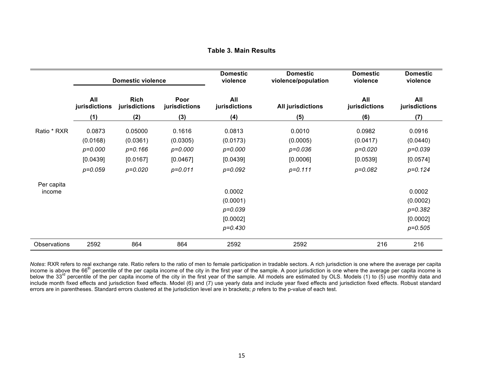## **Table 3. Main Results**

|              |                      | <b>Domestic violence</b>     |                       | <b>Domestic</b><br>violence | <b>Domestic</b><br>violence/population | <b>Domestic</b><br>violence | <b>Domestic</b><br>violence |  |
|--------------|----------------------|------------------------------|-----------------------|-----------------------------|----------------------------------------|-----------------------------|-----------------------------|--|
|              | All<br>jurisdictions | <b>Rich</b><br>jurisdictions | Poor<br>jurisdictions | All<br>jurisdictions        | <b>All jurisdictions</b>               | All<br>jurisdictions        | All<br>jurisdictions        |  |
|              | (1)                  | (2)                          | (3)                   | (4)                         | (5)                                    | (6)                         | (7)                         |  |
| Ratio * RXR  | 0.0873               | 0.05000                      | 0.1616                | 0.0813                      | 0.0010                                 | 0.0982                      | 0.0916                      |  |
|              | (0.0168)             | (0.0361)                     | (0.0305)              | (0.0173)                    | (0.0005)                               | (0.0417)                    | (0.0440)                    |  |
|              | $p = 0.000$          | $p = 0.166$                  | $p=0.000$             | $p=0.000$                   | $p = 0.036$                            | $p = 0.020$                 | $p = 0.039$                 |  |
|              | [0.0439]             | [0.0167]                     | [0.0467]              | [0.0439]                    | [0.0006]                               | [0.0539]                    | [0.0574]                    |  |
|              | $p = 0.059$          | $p=0.020$                    | $p = 0.011$           | $p = 0.092$                 | $p=0.111$                              | $p = 0.082$                 | $p=0.124$                   |  |
| Per capita   |                      |                              |                       |                             |                                        |                             |                             |  |
| income       |                      |                              |                       | 0.0002                      |                                        |                             | 0.0002                      |  |
|              |                      |                              |                       | (0.0001)                    |                                        |                             | (0.0002)                    |  |
|              |                      |                              |                       | $p = 0.039$                 |                                        |                             | $p = 0.382$                 |  |
|              |                      |                              |                       | [0.0002]                    |                                        |                             | [0.0002]                    |  |
|              |                      |                              |                       | $p=0.430$                   |                                        |                             | $p = 0.505$                 |  |
| Observations | 2592                 | 864                          | 864                   | 2592                        | 2592                                   | 216                         | 216                         |  |

*Notes*: RXR refers to real exchange rate. Ratio refers to the ratio of men to female participation in tradable sectors. A rich jurisdiction is one where the average per capita income is above the 66<sup>th</sup> percentile of the per capita income of the city in the first year of the sample. A poor jurisdiction is one where the average per capita income is below the 33<sup>rd</sup> percentile of the per capita income of the city in the first year of the sample. All models are estimated by OLS. Models (1) to (5) use monthly data and include month fixed effects and jurisdiction fixed effects. Model (6) and (7) use yearly data and include year fixed effects and jurisdiction fixed effects. Robust standard errors are in parentheses. Standard errors clustered at the jurisdiction level are in brackets; *p* refers to the p-value of each test.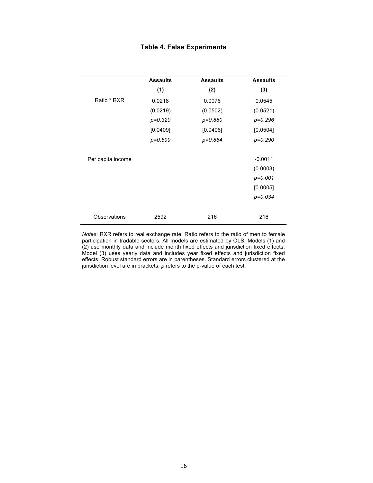# **Table 4. False Experiments**

|                   | <b>Assaults</b> | <b>Assaults</b> | <b>Assaults</b> |
|-------------------|-----------------|-----------------|-----------------|
|                   | (1)             | (2)             | (3)             |
| Ratio * RXR       | 0.0218          | 0.0076          | 0.0545          |
|                   | (0.0219)        | (0.0502)        | (0.0521)        |
|                   | $p = 0.320$     | p=0.880         | $p = 0.296$     |
|                   | [0.0409]        | [0.0406]        | [0.0504]        |
|                   | $p = 0.599$     | p=0.854         | $p = 0.290$     |
| Per capita income |                 |                 | $-0.0011$       |
|                   |                 |                 | (0.0003)        |
|                   |                 |                 | $p = 0.001$     |
|                   |                 |                 | [0.0005]        |
|                   |                 |                 | $p = 0.034$     |
| Observations      | 2592            | 216             | 216             |

*Notes*: RXR refers to real exchange rate. Ratio refers to the ratio of men to female participation in tradable sectors. All models are estimated by OLS. Models (1) and (2) use monthly data and include month fixed effects and jurisdiction fixed effects. Model (3) uses yearly data and includes year fixed effects and jurisdiction fixed effects. Robust standard errors are in parentheses. Standard errors clustered at the jurisdiction level are in brackets; *p* refers to the p-value of each test.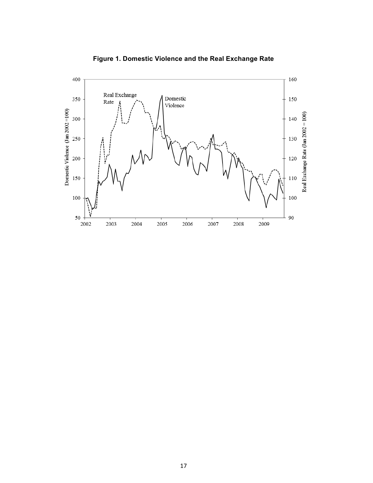

**Figure 1. Domestic Violence and the Real Exchange Rate**